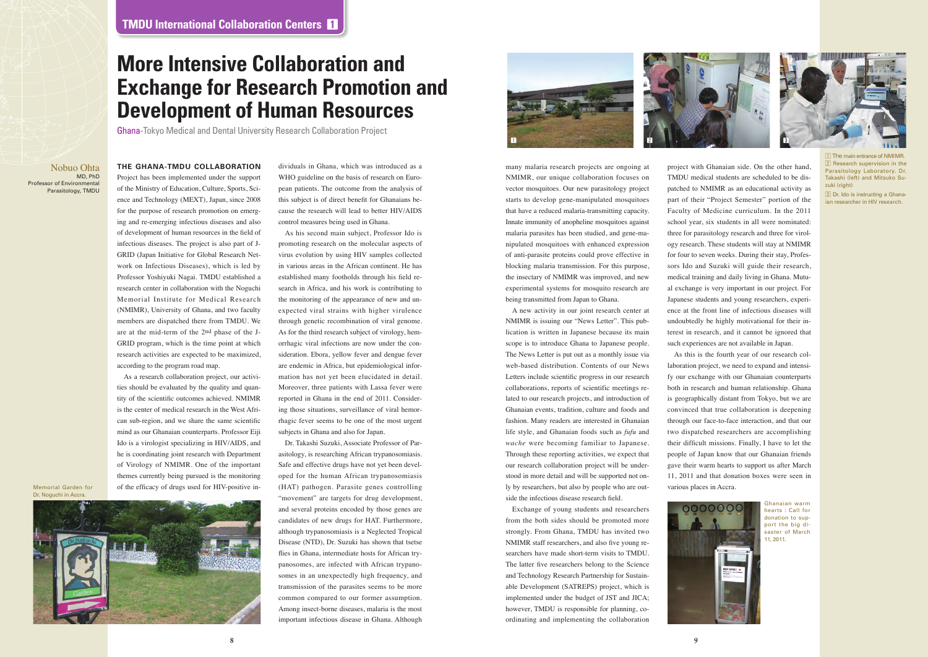many malaria research projects are ongoing at NMIMR, our unique collaboration focuses on vector mosquitoes. Our new parasitology project starts to develop gene-manipulated mosquitoes that have a reduced malaria-transmitting capacity. Innate immunity of anopheline mosquitoes against malaria parasites has been studied, and gene-manipulated mosquitoes with enhanced expression of anti-parasite proteins could prove effective in blocking malaria transmission. For this purpose, the insectary of NMIMR was improved, and new experimental systems for mosquito research are being transmitted from Japan to Ghana.

A new activity in our joint research center at NMIMR is issuing our "News Letter". This publication is written in Japanese because its main scope is to introduce Ghana to Japanese people. The News Letter is put out as a monthly issue via web-based distribution. Contents of our News Letters include scientific progress in our research collaborations, reports of scientific meetings related to our research projects, and introduction of Ghanaian events, tradition, culture and foods and fashion. Many readers are interested in Ghanaian life style, and Ghanaian foods such as *fufu* and *wache* were becoming familiar to Japanese. Through these reporting activities, we expect that our research collaboration project will be understood in more detail and will be supported not only by researchers, but also by people who are outside the infectious disease research field.

 $\overline{1}$  The main entrance of NMIM 2 Research supervision in the Parasitology Laboratory. Dr. Takashi (left) and Mitsuko Suzuki (right)

Exchange of young students and researchers from the both sides should be promoted more strongly. From Ghana, TMDU has invited two NMIMR staff researchers, and also five young researchers have made short-term visits to TMDU. The latter five researchers belong to the Science and Technology Research Partnership for Sustainable Development (SATREPS) project, which is implemented under the budget of JST and JICA; however, TMDU is responsible for planning, coordinating and implementing the collaboration







3 Dr. Ido is instructing a Ghanaian researcher in HIV research.

#### **THE GHANA-TMDU COLLABORATION**

Project has been implemented under the support of the Ministry of Education, Culture, Sports, Science and Technology (MEXT), Japan, since 2008 for the purpose of research promotion on emerging and re-emerging infectious diseases and also of development of human resources in the field of infectious diseases. The project is also part of J-GRID (Japan Initiative for Global Research Network on Infectious Diseases), which is led by Professor Yoshiyuki Nagai. TMDU established a research center in collaboration with the Noguchi Memorial Institute for Medical Research (NMIMR), University of Ghana, and two faculty members are dispatched there from TMDU. We are at the mid-term of the 2nd phase of the J-GRID program, which is the time point at which research activities are expected to be maximized, according to the program road map.

As a research collaboration project, our activities should be evaluated by the quality and quantity of the scientific outcomes achieved. NMIMR is the center of medical research in the West African sub-region, and we share the same scientific mind as our Ghanaian counterparts. Professor Eiji Ido is a virologist specializing in HIV/AIDS, and he is coordinating joint research with Department of Virology of NMIMR. One of the important themes currently being pursued is the monitoring of the efficacy of drugs used for HIV-positive in-

dividuals in Ghana, which was introduced as a WHO guideline on the basis of research on European patients. The outcome from the analysis of this subject is of direct benefit for Ghanaians because the research will lead to better HIV/AIDS control measures being used in Ghana.

As his second main subject, Professor Ido is promoting research on the molecular aspects of virus evolution by using HIV samples collected in various areas in the African continent. He has established many footholds through his field research in Africa, and his work is contributing to the monitoring of the appearance of new and unexpected viral strains with higher virulence through genetic recombination of viral genome. As for the third research subject of virology, hemorrhagic viral infections are now under the consideration. Ebora, yellow fever and dengue fever are endemic in Africa, but epidemiological information has not yet been elucidated in detail. Moreover, three patients with Lassa fever were reported in Ghana in the end of 2011. Considering those situations, surveillance of viral hemorrhagic fever seems to be one of the most urgent subjects in Ghana and also for Japan.

Dr. Takashi Suzuki, Associate Professor of Parasitology, is researching African trypanosomiasis. Safe and effective drugs have not yet been developed for the human African trypanosomiasis (HAT) pathogen. Parasite genes controlling "movement" are targets for drug development, and several proteins encoded by those genes are candidates of new drugs for HAT. Furthermore, although trypanosomiasis is a Neglected Tropical Disease (NTD), Dr. Suzuki has shown that tsetse flies in Ghana, intermediate hosts for African trypanosomes, are infected with African trypanosomes in an unexpectedly high frequency, and transmission of the parasites seems to be more common compared to our former assumption. Among insect-borne diseases, malaria is the most important infectious disease in Ghana. Although

# **More Intensive Collaboration and Exchange for Research Promotion and Development of Human Resources**

Nobuo Ohta MD, PhD Professor of Environmental Parasitology, TMDU

Memorial Garden for Dr. Noguchi in Accra.





project with Ghanaian side. On the other hand, TMDU medical students are scheduled to be dispatched to NMIMR as an educational activity as part of their "Project Semester" portion of the Faculty of Medicine curriculum. In the 2011 school year, six students in all were nominated: three for parasitology research and three for virology research. These students will stay at NMIMR for four to seven weeks. During their stay, Professors Ido and Suzuki will guide their research, medical training and daily living in Ghana. Mutual exchange is very important in our project. For Japanese students and young researchers, experience at the front line of infectious diseases will undoubtedly be highly motivational for their interest in research, and it cannot be ignored that such experiences are not available in Japan.

As this is the fourth year of our research collaboration project, we need to expand and intensify our exchange with our Ghanaian counterparts both in research and human relationship. Ghana is geographically distant from Tokyo, but we are convinced that true collaboration is deepening through our face-to-face interaction, and that our two dispatched researchers are accomplishing their difficult missions. Finally, I have to let the people of Japan know that our Ghanaian friends gave their warm hearts to support us after March 11, 2011 and that donation boxes were seen in various places in Accra.

Ghana-Tokyo Medical and Dental University Research Collaboration Project

Ghanaian warm hearts : Call for donation to support the big disaster of March 11, 2011.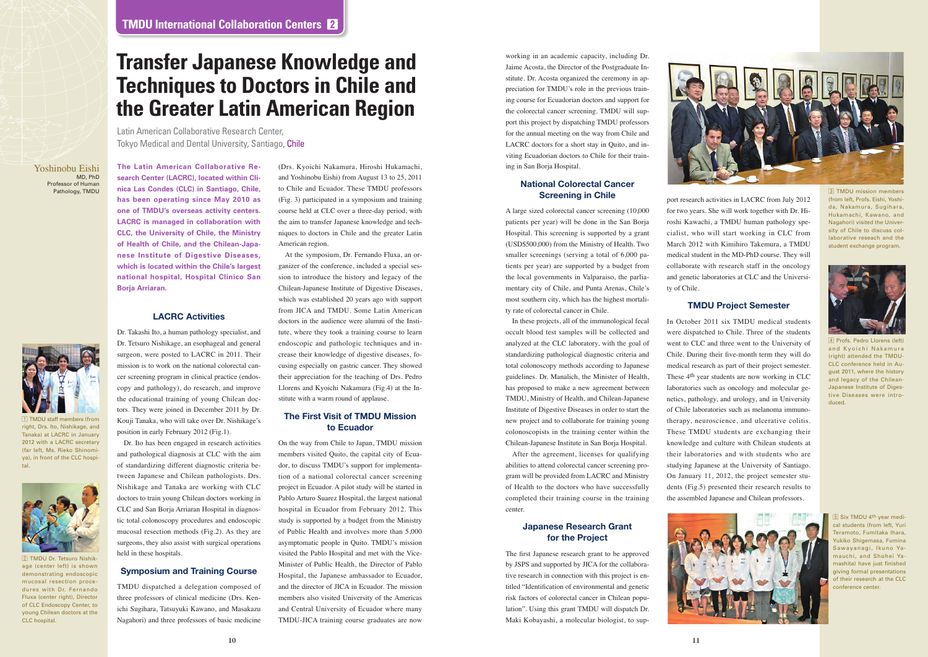port research activities in LACRC from July 2012 for two years. She will work together with Dr. Hiroshi Kawachi, a TMDU human pathology specialist, who will start working in CLC from March 2012 with Kimihiro Takemura, a TMDU medical student in the MD-PhD course. They will collaborate with research staff in the oncology and genetic laboratories at CLC and the Universi-

ty of Chile.

### **TMDU Project Semester**

In October 2011 six TMDU medical students were dispatched to Chile. Three of the students went to CLC and three went to the University of Chile. During their five-month term they will do medical research as part of their project semester. These 4th year students are now working in CLC laboratories such as oncology and molecular genetics, pathology, and urology, and in University of Chile laboratories such as melanoma immunotherapy, neuroscience, and ulcerative colitis. These TMDU students are exchanging their knowledge and culture with Chilean students at their laboratories and with students who are studying Japanese at the University of Santiago. On January 11, 2012, the project semester students (Fig.5) presented their research results to the assembled Japanese and Chilean professors.

working in an academic capacity, including Dr. Jaime Acosta, the Director of the Postgraduate Institute. Dr. Acosta organized the ceremony in appreciation for TMDU's role in the previous training course for Ecuadorian doctors and support for the colorectal cancer screening. TMDU will support this project by dispatching TMDU professors for the annual meeting on the way from Chile and LACRC doctors for a short stay in Quito, and inviting Ecuadorian doctors to Chile for their training in San Borja Hospital.

### **National Colorectal Cancer Screening in Chile**



4 Profs. Pedro Llorens (left) and Kvoichi Nakamura (right) attended the TMDU-CLC conference held in August 2011, where the history and legacy of the Chilean-Japanese Institute of Digestive Diseases were introduced.



5 Six TMDU 4th year medical students (from left, Yuri Teramoto, Fumitaka Ihara, Yukiko Shigemasa, Fumina Sawayanagi, Ikuno Yamauchi, and Shohei Yamashita) have just finished giving formal presentations of their research at the CLC conference center

A large sized colorectal cancer screening (10,000 patients per year) will be done in the San Borja Hospital. This screening is supported by a grant (USD\$500,000) from the Ministry of Health. Two smaller screenings (serving a total of 6,000 patients per year) are supported by a budget from the local governments in Valparaiso, the parliamentary city of Chile, and Punta Arenas, Chile's most southern city, which has the highest mortality rate of colorectal cancer in Chile.

In these projects, all of the immunological fecal occult blood test samples will be collected and analyzed at the CLC laboratory, with the goal of standardizing pathological diagnostic criteria and total colonoscopy methods according to Japanese guidelines. Dr. Manalich, the Minister of Health, has proposed to make a new agreement between TMDU, Ministry of Health, and Chilean-Japanese Institute of Digestive Diseases in order to start the new project and to collaborate for training young colonoscopists in the training center within the Chilean-Japanese Institute in San Borja Hospital.

After the agreement, licenses for qualifying abilities to attend colorectal cancer screening program will be provided from LACRC and Ministry of Health to the doctors who have successfully completed their training course in the training center.

#### **Japanese Research Grant for the Project**

The first Japanese research grant to be approved by JSPS and supported by JICA for the collaborative research in connection with this project is entitled "Identification of environmental and genetic risk factors of colorectal cancer in Chilean population". Using this grant TMDU will dispatch Dr. Maki Kobayashi, a molecular biologist, to sup-



3 TMDU mission members (from left, Profs. Eishi, Yoshida, Nakamura, Sugihara, Hukamachi, Kawano, and Nagahori) visited the University of Chile to discuss collaborative reseach and the student exchange program.

2 TMDU Dr. Tetsuro Nishikage (center left) is shown demonstrating endoscopic mucosal resection procedures with Dr. Fernando Fluxa (center right), Director of CLC Endoscopy Center, to young Chilean doctors at the CLC hospital.



1 TMDU staff members (from right, Drs. Ito, Nishikage, and Tanaka) at LACRC in January 2012 with a LACRC secretary (far left, Ms. Rieko Shinomiya), in front of the CLC hospital.



**The Latin American Collaborative Research Center (LACRC), located within Clinica Las Condes (CLC) in Santiago, Chile, has been operating since May 2010 as one of TMDU's overseas activity centers. LACRC is managed in collaboration with CLC, the University of Chile, the Ministry of Health of Chile, and the Chilean-Japanese Institute of Digestive Diseases, which is located within the Chile's largest national hospital, Hospital Clinico San Borja Arriaran.** 

#### **LACRC Activities**

Dr. Takashi Ito, a human pathology specialist, and Dr. Tetsuro Nishikage, an esophageal and general surgeon, were posted to LACRC in 2011. Their mission is to work on the national colorectal cancer screening program in clinical practice (endoscopy and pathology), do research, and improve the educational training of young Chilean doctors. They were joined in December 2011 by Dr. Kouji Tanaka, who will take over Dr. Nishikage's position in early February 2012 (Fig.1).

Dr. Ito has been engaged in research activities and pathological diagnosis at CLC with the aim of standardizing different diagnostic criteria between Japanese and Chilean pathologists. Drs. Nishikage and Tanaka are working with CLC doctors to train young Chilean doctors working in CLC and San Borja Arriaran Hospital in diagnostic total colonoscopy procedures and endoscopic mucosal resection methods (Fig.2). As they are surgeons, they also assist with surgical operations held in these hospitals.

#### **Symposium and Training Course**

TMDU dispatched a delegation composed of three professors of clinical medicine (Drs. Kenichi Sugihara, Tatsuyuki Kawano, and Masakazu Nagahori) and three professors of basic medicine

(Drs. Kyoichi Nakamura, Hiroshi Hukamachi, and Yoshinobu Eishi) from August 13 to 25, 2011 to Chile and Ecuador. These TMDU professors (Fig. 3) participated in a symposium and training course held at CLC over a three-day period, with the aim to transfer Japanese knowledge and techniques to doctors in Chile and the greater Latin American region.

At the symposium, Dr. Fernando Fluxa, an organizer of the conference, included a special session to introduce the history and legacy of the Chilean-Japanese Institute of Digestive Diseases, which was established 20 years ago with support from JICA and TMDU. Some Latin American doctors in the audience were alumni of the Institute, where they took a training course to learn endoscopic and pathologic techniques and increase their knowledge of digestive diseases, focusing especially on gastric cancer. They showed their appreciation for the teaching of Drs. Pedro Llorens and Kyoichi Nakamura (Fig.4) at the Institute with a warm round of applause.

### **The First Visit of TMDU Mission to Ecuador**

On the way from Chile to Japan, TMDU mission members visited Quito, the capital city of Ecuador, to discuss TMDU's support for implementation of a national colorectal cancer screening project in Ecuador. A pilot study will be started in Pablo Arturo Suarez Hospital, the largest national hospital in Ecuador from February 2012. This study is supported by a budget from the Ministry of Public Health and involves more than 5,000 asymptomatic people in Quito. TMDU's mission visited the Pablo Hospital and met with the Vice-Minister of Public Health, the Director of Pablo Hospital, the Japanese ambassador to Ecuador, and the director of JICA in Ecuador. The mission members also visited University of the Americas and Central University of Ecuador where many TMDU-JICA training course graduates are now

Yoshinobu Eishi MD, PhD Professor of Human Pathology, TMDU

# **Transfer Japanese Knowledge and Techniques to Doctors in Chile and the Greater Latin American Region**

Latin American Collaborative Research Center, Tokyo Medical and Dental University, Santiago, Chile